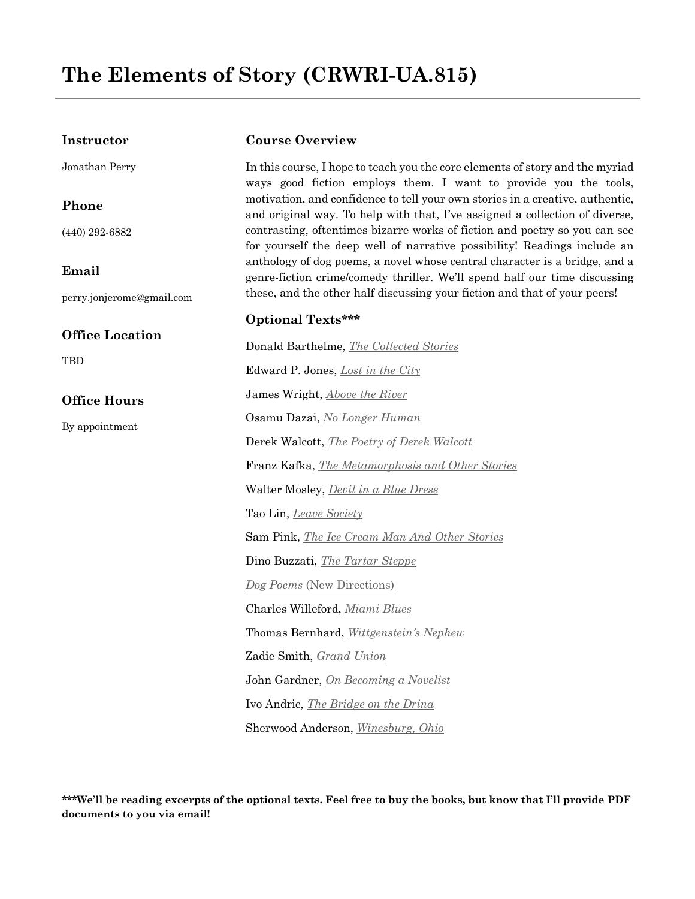#### **Instructor**

Jonathan Perry

#### **Phone**

(440) 292-6882

### **Email**

perry.jonjerome@gmail.com

#### **Office Location**

**TBD** 

### **Office Hours**

By appointment

#### **Course Overview**

In this course, I hope to teach you the core elements of story and the myriad ways good fiction employs them. I want to provide you the tools, motivation, and confidence to tell your own stories in a creative, authentic, and original way. To help with that, I've assigned a collection of diverse, contrasting, oftentimes bizarre works of fiction and poetry so you can see for yourself the deep well of narrative possibility! Readings include an anthology of dog poems, a novel whose central character is a bridge, and a genre-fiction crime/comedy thriller. We'll spend half our time discussing these, and the other half discussing your fiction and that of your peers!

### **Optional Texts\*\*\***

Donald Barthelme, *The Collected Stories* Edward P. Jones, *Lost in the City* James Wright, *Above the River* Osamu Dazai, *No Longer Human* Derek Walcott, *The Poetry of Derek Walcott* Franz Kafka, *The Metamorphosis and Other Stories* Walter Mosley, *Devil in a Blue Dress* Tao Lin, *Leave Society* Sam Pink, *The Ice Cream Man And Other Stories* Dino Buzzati, *The Tartar Steppe Dog Poems* (New Directions) Charles Willeford, *Miami Blues* Thomas Bernhard, *Wittgenstein's Nephew* Zadie Smith, *Grand Union* John Gardner, *On Becoming a Novelist* Ivo Andric, *The Bridge on the Drina* Sherwood Anderson, *Winesburg, Ohio*

**\*\*\*We'll be reading excerpts of the optional texts. Feel free to buy the books, but know that I'll provide PDF documents to you via email!**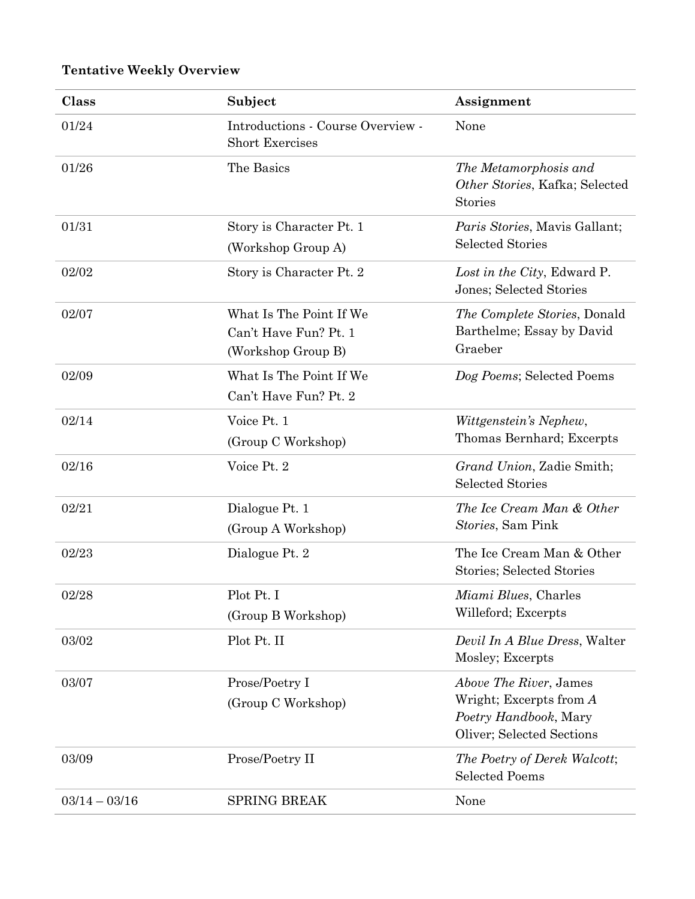# **Tentative Weekly Overview**

| Class           | Subject                                                                | Assignment                                                                                              |
|-----------------|------------------------------------------------------------------------|---------------------------------------------------------------------------------------------------------|
| 01/24           | Introductions - Course Overview -<br><b>Short Exercises</b>            | None                                                                                                    |
| 01/26           | The Basics                                                             | The Metamorphosis and<br>Other Stories, Kafka; Selected<br><b>Stories</b>                               |
| 01/31           | Story is Character Pt. 1<br>(Workshop Group A)                         | <i>Paris Stories</i> , Mavis Gallant;<br><b>Selected Stories</b>                                        |
| 02/02           | Story is Character Pt. 2                                               | Lost in the City, Edward P.<br>Jones; Selected Stories                                                  |
| 02/07           | What Is The Point If We<br>Can't Have Fun? Pt. 1<br>(Workshop Group B) | <i>The Complete Stories</i> , Donald<br>Barthelme; Essay by David<br>Graeber                            |
| 02/09           | What Is The Point If We<br>Can't Have Fun? Pt. 2                       | Dog Poems; Selected Poems                                                                               |
| 02/14           | Voice Pt. 1<br>(Group C Workshop)                                      | Wittgenstein's Nephew,<br>Thomas Bernhard; Excerpts                                                     |
| 02/16           | Voice Pt. 2                                                            | Grand Union, Zadie Smith;<br><b>Selected Stories</b>                                                    |
| 02/21           | Dialogue Pt. 1<br>(Group A Workshop)                                   | The Ice Cream Man & Other<br>Stories, Sam Pink                                                          |
| 02/23           | Dialogue Pt. 2                                                         | The Ice Cream Man & Other<br>Stories; Selected Stories                                                  |
| 02/28           | Plot Pt. I<br>(Group B Workshop)                                       | Miami Blues, Charles<br>Willeford; Excerpts                                                             |
| 03/02           | Plot Pt. II                                                            | Devil In A Blue Dress, Walter<br>Mosley; Excerpts                                                       |
| 03/07           | Prose/Poetry I<br>(Group C Workshop)                                   | Above The River, James<br>Wright; Excerpts from A<br>Poetry Handbook, Mary<br>Oliver; Selected Sections |
| 03/09           | Prose/Poetry II                                                        | The Poetry of Derek Walcott;<br><b>Selected Poems</b>                                                   |
| $03/14 - 03/16$ | <b>SPRING BREAK</b>                                                    | None                                                                                                    |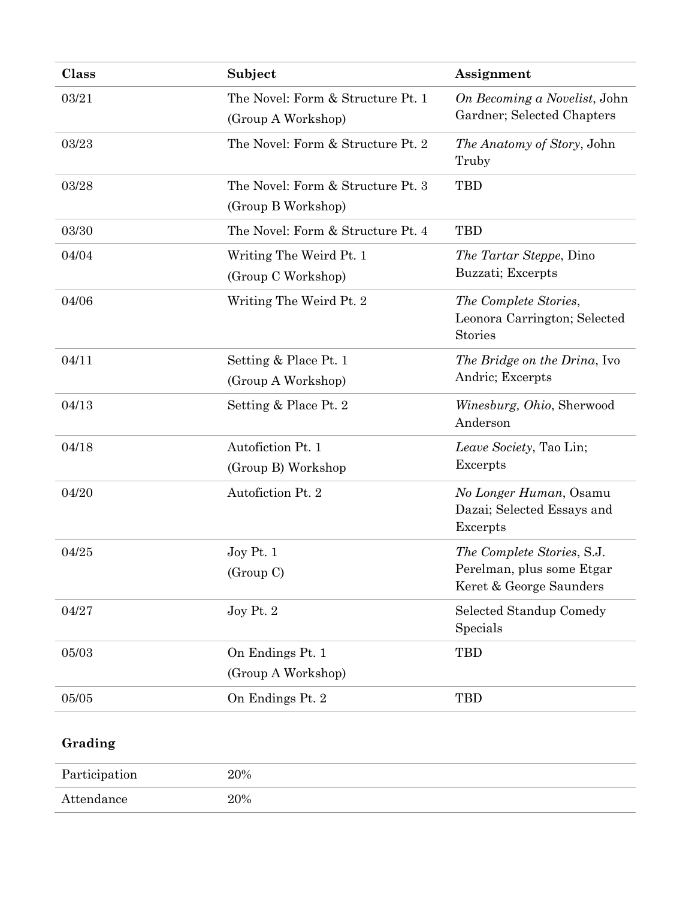| Class | Subject                                                 | Assignment                                                                         |
|-------|---------------------------------------------------------|------------------------------------------------------------------------------------|
| 03/21 | The Novel: Form & Structure Pt. 1<br>(Group A Workshop) | On Becoming a Novelist, John<br>Gardner; Selected Chapters                         |
| 03/23 | The Novel: Form & Structure Pt. 2                       | The Anatomy of Story, John<br>Truby                                                |
| 03/28 | The Novel: Form & Structure Pt. 3<br>(Group B Workshop) | <b>TBD</b>                                                                         |
| 03/30 | The Novel: Form & Structure Pt. 4                       | <b>TBD</b>                                                                         |
| 04/04 | Writing The Weird Pt. 1<br>(Group C Workshop)           | <i>The Tartar Steppe</i> , Dino<br>Buzzati; Excerpts                               |
| 04/06 | Writing The Weird Pt. 2                                 | The Complete Stories,<br>Leonora Carrington; Selected<br>Stories                   |
| 04/11 | Setting & Place Pt. 1<br>(Group A Workshop)             | The Bridge on the Drina, Ivo<br>Andric; Excerpts                                   |
| 04/13 | Setting & Place Pt. 2                                   | <i>Winesburg, Ohio, Sherwood</i><br>Anderson                                       |
| 04/18 | Autofiction Pt. 1<br>(Group B) Workshop                 | Leave Society, Tao Lin;<br>Excerpts                                                |
| 04/20 | Autofiction Pt. 2                                       | No Longer Human, Osamu<br>Dazai; Selected Essays and<br>Excerpts                   |
| 04/25 | Joy Pt. 1<br>(Group C)                                  | The Complete Stories, S.J.<br>Perelman, plus some Etgar<br>Keret & George Saunders |
| 04/27 | Joy Pt. 2                                               | Selected Standup Comedy<br>Specials                                                |
| 05/03 | On Endings Pt. 1                                        | <b>TBD</b>                                                                         |
|       | (Group A Workshop)                                      |                                                                                    |
| 05/05 | On Endings Pt. 2                                        | <b>TBD</b>                                                                         |

# **Grading**

| Participation | 20% |
|---------------|-----|
| Attendance    | 20% |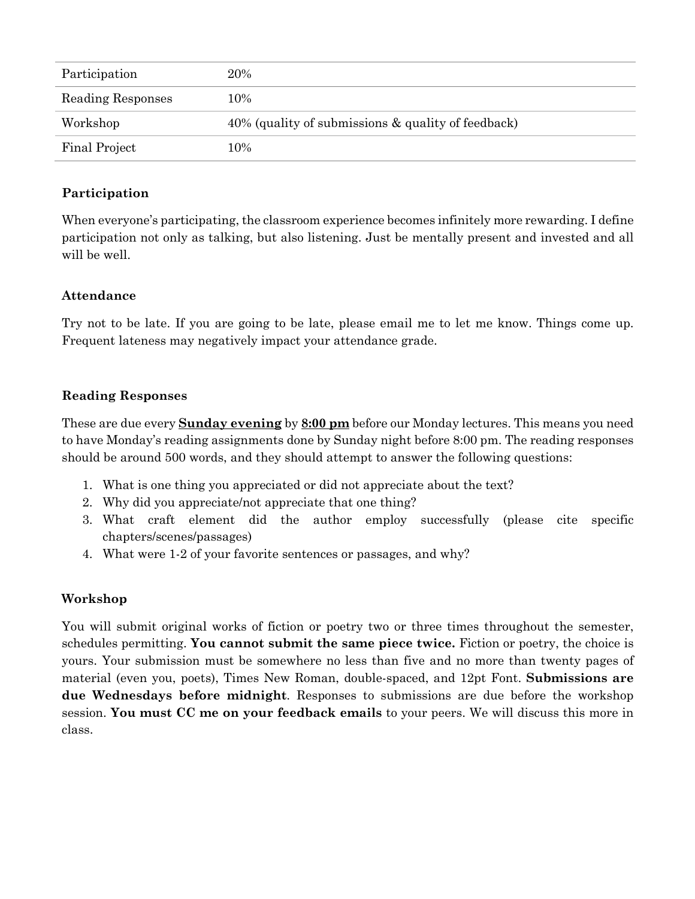| Participation     | 20%                                                |
|-------------------|----------------------------------------------------|
| Reading Responses | 10%                                                |
| Workshop          | 40% (quality of submissions & quality of feedback) |
| Final Project     | 10%                                                |

## **Participation**

When everyone's participating, the classroom experience becomes infinitely more rewarding. I define participation not only as talking, but also listening. Just be mentally present and invested and all will be well.

## **Attendance**

Try not to be late. If you are going to be late, please email me to let me know. Things come up. Frequent lateness may negatively impact your attendance grade.

### **Reading Responses**

These are due every **Sunday evening** by **8:00 pm** before our Monday lectures. This means you need to have Monday's reading assignments done by Sunday night before 8:00 pm. The reading responses should be around 500 words, and they should attempt to answer the following questions:

- 1. What is one thing you appreciated or did not appreciate about the text?
- 2. Why did you appreciate/not appreciate that one thing?
- 3. What craft element did the author employ successfully (please cite specific chapters/scenes/passages)
- 4. What were 1-2 of your favorite sentences or passages, and why?

# **Workshop**

You will submit original works of fiction or poetry two or three times throughout the semester, schedules permitting. **You cannot submit the same piece twice.** Fiction or poetry, the choice is yours. Your submission must be somewhere no less than five and no more than twenty pages of material (even you, poets), Times New Roman, double-spaced, and 12pt Font. **Submissions are due Wednesdays before midnight**. Responses to submissions are due before the workshop session. **You must CC me on your feedback emails** to your peers. We will discuss this more in class.